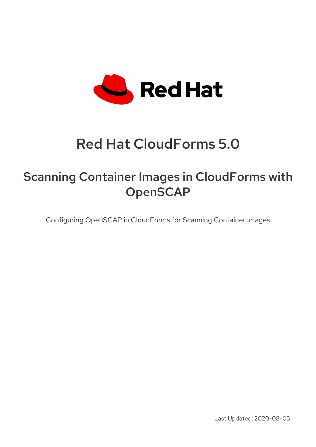

# Red Hat CloudForms 5.0

# Scanning Container Images in CloudForms with **OpenSCAP**

Configuring OpenSCAP in CloudForms for Scanning Container Images

Last Updated: 2020-08-05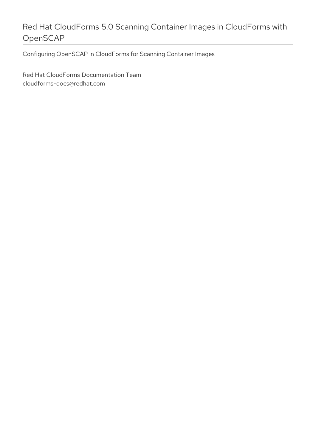# Red Hat CloudForms 5.0 Scanning Container Images in CloudForms with OpenSCAP

Configuring OpenSCAP in CloudForms for Scanning Container Images

Red Hat CloudForms Documentation Team cloudforms-docs@redhat.com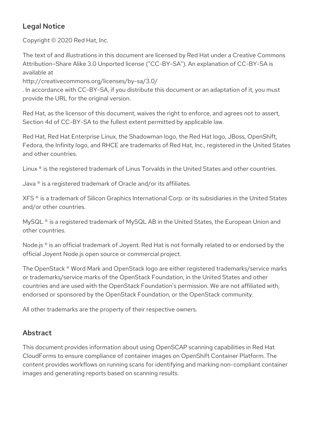## Legal Notice

Copyright © 2020 Red Hat, Inc.

The text of and illustrations in this document are licensed by Red Hat under a Creative Commons Attribution–Share Alike 3.0 Unported license ("CC-BY-SA"). An explanation of CC-BY-SA is available at

http://creativecommons.org/licenses/by-sa/3.0/

. In accordance with CC-BY-SA, if you distribute this document or an adaptation of it, you must provide the URL for the original version.

Red Hat, as the licensor of this document, waives the right to enforce, and agrees not to assert, Section 4d of CC-BY-SA to the fullest extent permitted by applicable law.

Red Hat, Red Hat Enterprise Linux, the Shadowman logo, the Red Hat logo, JBoss, OpenShift, Fedora, the Infinity logo, and RHCE are trademarks of Red Hat, Inc., registered in the United States and other countries.

Linux ® is the registered trademark of Linus Torvalds in the United States and other countries.

Java ® is a registered trademark of Oracle and/or its affiliates.

XFS ® is a trademark of Silicon Graphics International Corp. or its subsidiaries in the United States and/or other countries.

MySQL<sup>®</sup> is a registered trademark of MySQL AB in the United States, the European Union and other countries.

Node.js ® is an official trademark of Joyent. Red Hat is not formally related to or endorsed by the official Joyent Node.js open source or commercial project.

The OpenStack ® Word Mark and OpenStack logo are either registered trademarks/service marks or trademarks/service marks of the OpenStack Foundation, in the United States and other countries and are used with the OpenStack Foundation's permission. We are not affiliated with, endorsed or sponsored by the OpenStack Foundation, or the OpenStack community.

All other trademarks are the property of their respective owners.

## Abstract

This document provides information about using OpenSCAP scanning capabilities in Red Hat CloudForms to ensure compliance of container images on OpenShift Container Platform. The content provides workflows on running scans for identifying and marking non-compliant container images and generating reports based on scanning results.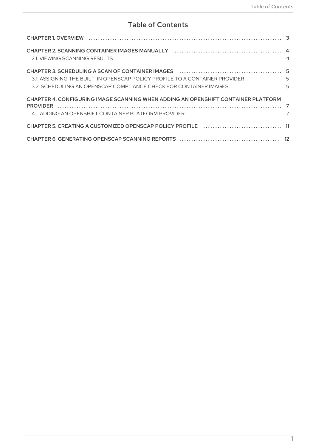## **Table of Contents**

| 2.1. VIEWING SCANNING RESULTS                                                                                                                    | 4      |
|--------------------------------------------------------------------------------------------------------------------------------------------------|--------|
| 3.1. ASSIGNING THE BUILT-IN OPENSCAP POLICY PROFILE TO A CONTAINER PROVIDER<br>3.2. SCHEDULING AN OPENSCAP COMPLIANCE CHECK FOR CONTAINER IMAGES | 5<br>5 |
| CHAPTER 4. CONFIGURING IMAGE SCANNING WHEN ADDING AN OPENSHIFT CONTAINER PLATFORM<br>4.1. ADDING AN OPENSHIFT CONTAINER PLATFORM PROVIDER        | 7      |
|                                                                                                                                                  |        |
|                                                                                                                                                  |        |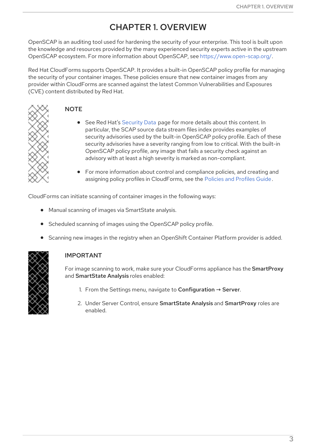# CHAPTER 1. OVERVIEW

<span id="page-6-0"></span>OpenSCAP is an auditing tool used for hardening the security of your enterprise. This tool is built upon the knowledge and resources provided by the many experienced security experts active in the upstream OpenSCAP ecosystem. For more information about OpenSCAP, see [https://www.open-scap.org/.](https://www.open-scap.org/)

Red Hat CloudForms supports OpenSCAP. It provides a built-in OpenSCAP policy profile for managing the security of your container images. These policies ensure that new container images from any provider within CloudForms are scanned against the latest Common Vulnerabilities and Exposures (CVE) content distributed by Red Hat.



#### **NOTE**

- See Red Hat's [Security](https://www.redhat.com/security/data/metrics/) Data page for more details about this content. In particular, the SCAP source data stream files index provides examples of security advisories used by the built-in OpenSCAP policy profile. Each of these security advisories have a severity ranging from low to critical. With the built-in OpenSCAP policy profile, any image that fails a security check against an advisory with at least a high severity is marked as non-compliant.
- For more information about control and compliance policies, and creating and assigning policy profiles in CloudForms, see the [Policies](https://access.redhat.com/documentation/en-us/red_hat_cloudforms/4.7/html-single/policies_and_profiles_guide/) and Profiles Guide.

CloudForms can initiate scanning of container images in the following ways:

- Manual scanning of images via SmartState analysis.
- Scheduled scanning of images using the OpenSCAP policy profile.
- Scanning new images in the registry when an OpenShift Container Platform provider is added.



#### IMPORTANT

For image scanning to work, make sure your CloudForms appliance has the SmartProxy and SmartState Analysis roles enabled:

- 1. From the Settings menu, navigate to Configuration  $\rightarrow$  Server.
- 2. Under Server Control, ensure SmartState Analysis and SmartProxy roles are enabled.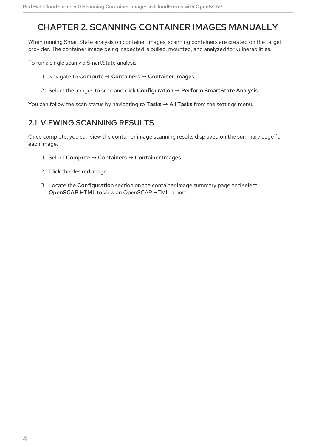# <span id="page-7-0"></span>CHAPTER 2. SCANNING CONTAINER IMAGES MANUALLY

When running SmartState analysis on container images, scanning containers are created on the target provider. The container image being inspected is pulled, mounted, and analyzed for vulnerabilities.

To run a single scan via SmartState analysis:

- 1. Navigate to Compute  $\rightarrow$  Containers  $\rightarrow$  Container Images.
- 2. Select the images to scan and click Configuration  $\rightarrow$  Perform SmartState Analysis.

You can follow the scan status by navigating to Tasks → All Tasks from the settings menu.

## <span id="page-7-1"></span>2.1. VIEWING SCANNING RESULTS

Once complete, you can view the container image scanning results displayed on the summary page for each image.

- 1. Select Compute → Containers → Container Images.
- 2. Click the desired image.
- 3. Locate the **Configuration** section on the container image summary page and select OpenSCAP HTML to view an OpenSCAP HTML report.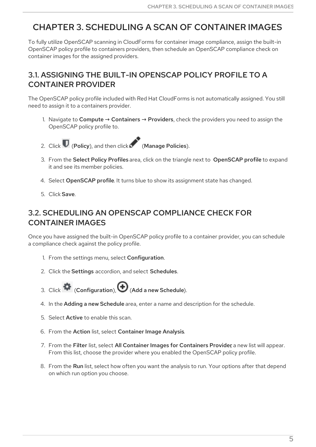# <span id="page-8-0"></span>CHAPTER 3. SCHEDULING A SCAN OF CONTAINER IMAGES

To fully utilize OpenSCAP scanning in CloudForms for container image compliance, assign the built-in OpenSCAP policy profile to containers providers, then schedule an OpenSCAP compliance check on container images for the assigned providers.

## <span id="page-8-1"></span>3.1. ASSIGNING THE BUILT-IN OPENSCAP POLICY PROFILE TO A CONTAINER PROVIDER

The OpenSCAP policy profile included with Red Hat CloudForms is not automatically assigned. You still need to assign it to a containers provider.

- 1. Navigate to Compute  $\rightarrow$  Containers  $\rightarrow$  Providers, check the providers you need to assign the OpenSCAP policy profile to.
- 2. Click  $\blacksquare$  (Policy), and then click (Manage Policies).
- 3. From the Select Policy Profiles area, click on the triangle next to OpenSCAP profile to expand it and see its member policies.
- 4. Select OpenSCAP profile. It turns blue to show its assignment state has changed.
- 5. Click Save.

## <span id="page-8-2"></span>3.2. SCHEDULING AN OPENSCAP COMPLIANCE CHECK FOR CONTAINER IMAGES

Once you have assigned the built-in OpenSCAP policy profile to a container provider, you can schedule a compliance check against the policy profile.

- 1. From the settings menu, select Configuration.
- 2. Click the Settings accordion, and select Schedules.
- 3. Click  $\bullet$  (Configuration),  $\bullet$  (Add a new Schedule).
- 4. In the Adding a new Schedule area, enter a name and description for the schedule.
- 5. Select Active to enable this scan.
- 6. From the Action list, select Container Image Analysis.
- 7. From the Filter list, select All Container Images for Containers Provider, a new list will appear. From this list, choose the provider where you enabled the OpenSCAP policy profile.
- 8. From the Run list, select how often you want the analysis to run. Your options after that depend on which run option you choose.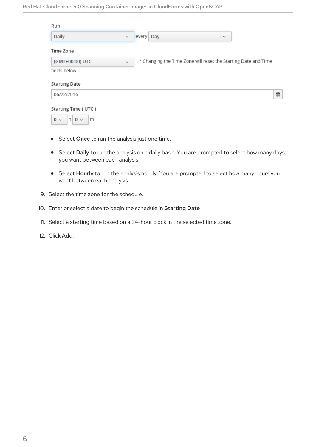| Run                           |        |       |     |                                                                |        |   |
|-------------------------------|--------|-------|-----|----------------------------------------------------------------|--------|---|
| Daily                         | $\sim$ | every | Day |                                                                | $\sim$ |   |
| Time Zone                     |        |       |     |                                                                |        |   |
| (GMT+00:00) UTC               | $\sim$ |       |     | * Changing the Time Zone will reset the Starting Date and Time |        |   |
| fields below                  |        |       |     |                                                                |        |   |
| <b>Starting Date</b>          |        |       |     |                                                                |        |   |
| 06/22/2016                    |        |       |     |                                                                |        | 雦 |
| Starting Time (UTC)           |        |       |     |                                                                |        |   |
| $h$ 0 $\sim$<br>$0 \sim$<br>m |        |       |     |                                                                |        |   |

- Select Once to run the analysis just one time.
- **•** Select Daily to run the analysis on a daily basis. You are prompted to select how many days you want between each analysis.
- Select Hourly to run the analysis hourly. You are prompted to select how many hours you want between each analysis.
- 9. Select the time zone for the schedule.
- 10. Enter or select a date to begin the schedule in Starting Date.
- 11. Select a starting time based on a 24-hour clock in the selected time zone.
- 12. Click Add.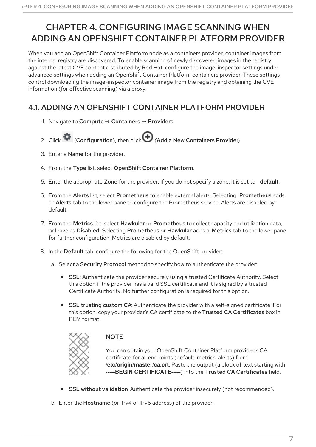# <span id="page-10-0"></span>CHAPTER 4. CONFIGURING IMAGE SCANNING WHEN ADDING AN OPENSHIFT CONTAINER PLATFORM PROVIDER

When you add an OpenShift Container Platform node as a containers provider, container images from the internal registry are discovered. To enable scanning of newly discovered images in the registry against the latest CVE content distributed by Red Hat, configure the image-inspector settings under advanced settings when adding an OpenShift Container Platform containers provider. These settings control downloading the image-inspector container image from the registry and obtaining the CVE information (for effective scanning) via a proxy.

## <span id="page-10-1"></span>4.1. ADDING AN OPENSHIFT CONTAINER PLATFORM PROVIDER

- 1. Navigate to Compute  $\rightarrow$  Containers  $\rightarrow$  Providers.
- 2. Click  $\bullet$  (Configuration), then click  $\bullet$  (Add a New Containers Provider).
- 3. Enter a Name for the provider.
- 4. From the Type list, select OpenShift Container Platform.
- 5. Enter the appropriate Zone for the provider. If you do not specify a zone, it is set to **default**.
- 6. From the Alerts list, select Prometheus to enable external alerts. Selecting Prometheus adds an Alerts tab to the lower pane to configure the Prometheus service. Alerts are disabled by default.
- 7. From the Metrics list, select Hawkular or Prometheus to collect capacity and utilization data, or leave as Disabled. Selecting Prometheus or Hawkular adds a Metrics tab to the lower pane for further configuration. Metrics are disabled by default.
- 8. In the Default tab, configure the following for the OpenShift provider:
	- a. Select a Security Protocol method to specify how to authenticate the provider:
		- **SSL:** Authenticate the provider securely using a trusted Certificate Authority. Select this option if the provider has a valid SSL certificate and it is signed by a trusted Certificate Authority. No further configuration is required for this option.
		- **SSL trusting custom CA:** Authenticate the provider with a self-signed certificate. For this option, copy your provider's CA certificate to the Trusted CA Certificates box in PEM format.



### **NOTE**

You can obtain your OpenShift Container Platform provider's CA certificate for all endpoints (default, metrics, alerts) from **/etc/origin/master/ca.crt**. Paste the output (a block of text starting with **-----BEGIN CERTIFICATE-----**) into the Trusted CA Certificates field.

- SSL without validation: Authenticate the provider insecurely (not recommended).
- b. Enter the **Hostname** (or IPv4 or IPv6 address) of the provider.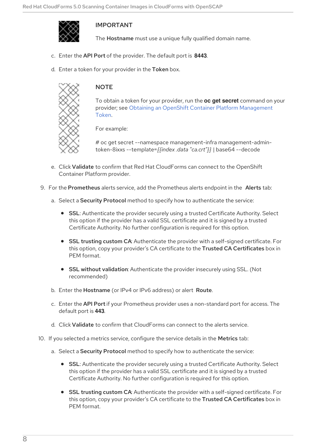

### IMPORTANT

The Hostname must use a unique fully qualified domain name.

- c. Enter the API Port of the provider. The default port is **8443**.
- d. Enter a token for your provider in the Token box.



#### **NOTE**

To obtain a token for your provider, run the **oc get secret** command on your provider; see Obtaining an OpenShift Container Platform [Management](https://access.redhat.com/documentation/en-us/red_hat_cloudforms/4.7/html-single/managing_providers/#Obtaining_OpenShift_Container_Platform_Management_Token) Token.

For example:

# oc get secret --namespace management-infra management-admintoken-8ixxs --template=*{{index .data "ca.crt"}}* | base64 --decode

- e. Click Validate to confirm that Red Hat CloudForms can connect to the OpenShift Container Platform provider.
- 9. For the Prometheus alerts service, add the Prometheus alerts endpoint in the Alerts tab:
	- a. Select a Security Protocol method to specify how to authenticate the service:
		- SSL: Authenticate the provider securely using a trusted Certificate Authority. Select this option if the provider has a valid SSL certificate and it is signed by a trusted Certificate Authority. No further configuration is required for this option.
		- SSL trusting custom CA: Authenticate the provider with a self-signed certificate. For this option, copy your provider's CA certificate to the Trusted CA Certificates box in PEM format.
		- SSL without validation: Authenticate the provider insecurely using SSL. (Not recommended)
	- b. Enter the Hostname (or IPv4 or IPv6 address) or alert Route.
	- c. Enter the API Port if your Prometheus provider uses a non-standard port for access. The default port is **443**.
	- d. Click Validate to confirm that CloudForms can connect to the alerts service.
- 10. If you selected a metrics service, configure the service details in the Metrics tab:
	- a. Select a Security Protocol method to specify how to authenticate the service:
		- **SSL:** Authenticate the provider securely using a trusted Certificate Authority. Select this option if the provider has a valid SSL certificate and it is signed by a trusted Certificate Authority. No further configuration is required for this option.
		- **SSL trusting custom CA:** Authenticate the provider with a self-signed certificate. For this option, copy your provider's CA certificate to the Trusted CA Certificates box in PEM format.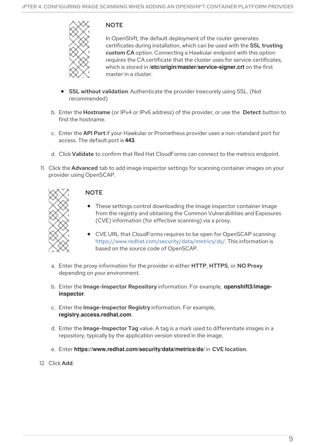

**NOTE** 

In OpenShift, the default deployment of the router generates certificates during installation, which can be used with the SSL trusting custom CA option. Connecting a Hawkular endpoint with this option requires the CA certificate that the cluster uses for service certificates, which is stored in **/etc/origin/master/service-signer.crt** on the first master in a cluster.

- SSL without validation: Authenticate the provider insecurely using SSL. (Not recommended)
- b. Enter the Hostname (or IPv4 or IPv6 address) of the provider, or use the Detect button to find the hostname.
- c. Enter the API Port if your Hawkular or Prometheus provider uses a non-standard port for access. The default port is **443**.
- d. Click Validate to confirm that Red Hat CloudForms can connect to the metrics endpoint.
- 11. Click the Advanced tab to add image inspector settings for scanning container images on your provider using OpenSCAP.



#### **NOTE**

- These settings control downloading the image inspector container image from the registry and obtaining the Common Vulnerabilities and Exposures (CVE) information (for effective scanning) via a proxy.
- CVE URL that CloudForms requires to be open for OpenSCAP scanning: [https://www.redhat.com/security/data/metrics/ds/.](https://www.redhat.com/security/data/metrics/ds/) This information is based on the source code of OpenSCAP.
- a. Enter the proxy information for the provider in either HTTP, HTTPS, or NO Proxy depending on your environment.
- b. Enter the Image-Inspector Repository information. For example, **openshift3/imageinspector**.
- c. Enter the Image-Inspector Registry information. For example, **registry.access.redhat.com**.
- d. Enter the Image-Inspector Tag value. A tag is a mark used to differentiate images in a repository, typically by the application version stored in the image.
- e. Enter **https://www.redhat.com/security/data/metrics/ds/** in CVE location.
- 12. Click Add.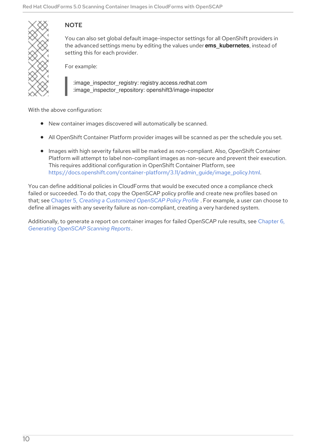

### **NOTE**

You can also set global default image-inspector settings for all OpenShift providers in the advanced settings menu by editing the values under **ems\_kubernetes**, instead of setting this for each provider.

For example:

:image\_inspector\_registry: registry.access.redhat.com :image\_inspector\_repository: openshift3/image-inspector

With the above configuration:

- New container images discovered will automatically be scanned.
- All OpenShift Container Platform provider images will be scanned as per the schedule you set.
- Images with high severity failures will be marked as non-compliant. Also, OpenShift Container Platform will attempt to label non-compliant images as non-secure and prevent their execution. This requires additional configuration in OpenShift Container Platform, see [https://docs.openshift.com/container-platform/3.11/admin\\_guide/image\\_policy.html.](https://docs.openshift.com/container-platform/3.11/admin_guide/image_policy.html)

You can define additional policies in CloudForms that would be executed once a compliance check failed or succeeded. To do that, copy the OpenSCAP policy profile and create new profiles based on that; see Chapter 5, *Creating a [Customized](#page-14-1) OpenSCAP Policy Profile* . For example, a user can choose to define all images with any severity failure as non-compliant, creating a very hardened system.

[Additionally,](#page-15-1) to generate a report on container images for failed OpenSCAP rule results, see Chapter 6, *Generating OpenSCAP Scanning Reports* .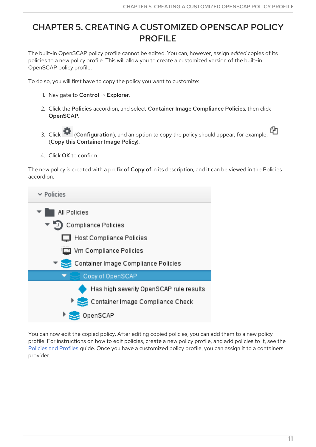# <span id="page-14-1"></span><span id="page-14-0"></span>CHAPTER 5. CREATING A CUSTOMIZED OPENSCAP POLICY PROFILE

The built-in OpenSCAP policy profile cannot be edited. You can, however, assign *edited* copies of its policies to a new policy profile. This will allow you to create a customized version of the built-in OpenSCAP policy profile.

To do so, you will first have to copy the policy you want to customize:

- 1. Navigate to Control  $\rightarrow$  Explorer.
- 2. Click the Policies accordion, and select Container Image Compliance Policies, then click OpenSCAP.
- ርሳ 3. Click (Configuration), and an option to copy the policy should appear; for example, (Copy this Container Image Policy).
- 4. Click OK to confirm.

The new policy is created with a prefix of Copy of in its description, and it can be viewed in the Policies accordion.



You can now edit the copied policy. After editing copied policies, you can add them to a new policy profile. For instructions on how to edit policies, create a new policy profile, and add policies to it, see the [Policies](https://access.redhat.com/documentation/en-us/red_hat_cloudforms/4.7/html-single/policies_and_profiles_guide) and Profiles guide. Once you have a customized policy profile, you can assign it to a containers provider.